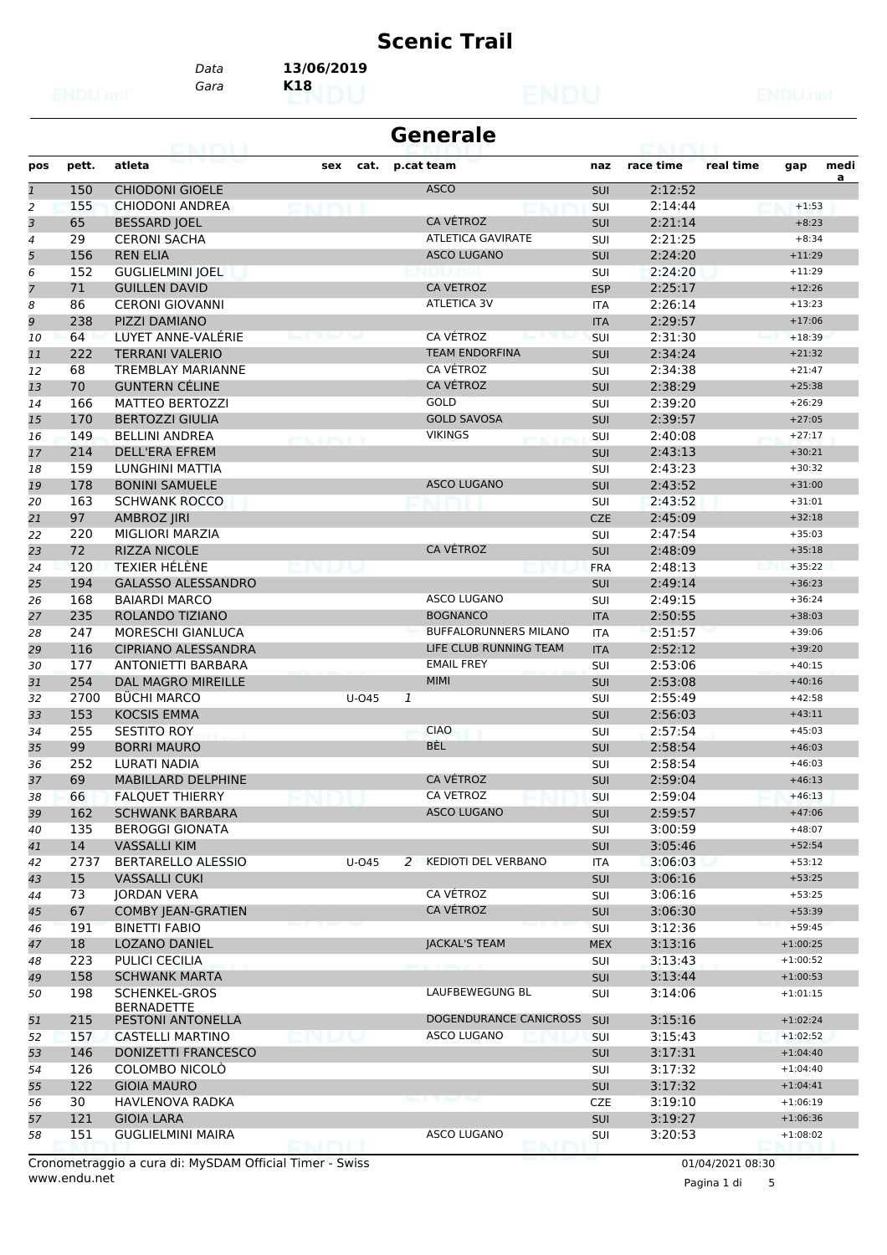# **Scenic Trail**

*Gara* **K18** *Data* **13/06/2019**

| pos<br>$\mathbf{1}$      | pett. | atleta                     | sex<br>cat. |   |                              |            |           |           |            |      |
|--------------------------|-------|----------------------------|-------------|---|------------------------------|------------|-----------|-----------|------------|------|
|                          |       |                            |             |   | p.cat team                   | naz        | race time | real time | gap        | medi |
|                          | 150   | <b>CHIODONI GIOELE</b>     |             |   | <b>ASCO</b>                  | <b>SUI</b> | 2:12:52   |           |            | a    |
| 2                        | 155   | CHIODONI ANDREA            |             |   |                              | SUI        | 2:14:44   |           | $+1:53$    |      |
| 3                        | 65    | <b>BESSARD JOEL</b>        |             |   | <b>CA VÉTROZ</b>             | <b>SUI</b> | 2:21:14   |           | $+8:23$    |      |
| $\overline{\mathcal{A}}$ | 29    | <b>CERONI SACHA</b>        |             |   | <b>ATLETICA GAVIRATE</b>     | SUI        | 2:21:25   |           | $+8:34$    |      |
| 5                        | 156   | <b>REN ELIA</b>            |             |   | <b>ASCO LUGANO</b>           | <b>SUI</b> | 2:24:20   |           | $+11:29$   |      |
| 6                        | 152   | <b>GUGLIELMINI JOEL</b>    |             |   |                              | <b>SUI</b> | 2:24:20   |           | $+11:29$   |      |
| 7                        | 71    | <b>GUILLEN DAVID</b>       |             |   | <b>CA VETROZ</b>             | <b>ESP</b> | 2:25:17   |           | $+12:26$   |      |
| 8                        | 86    | <b>CERONI GIOVANNI</b>     |             |   | <b>ATLETICA 3V</b>           | <b>ITA</b> | 2:26:14   |           | $+13:23$   |      |
| 9                        | 238   | PIZZI DAMIANO              |             |   |                              | <b>ITA</b> | 2:29:57   |           | $+17:06$   |      |
| 10                       | 64    | LUYET ANNE-VALÉRIE         |             |   | CA VÉTROZ                    | SUI        | 2:31:30   |           | $+18:39$   |      |
| 11                       | 222   | <b>TERRANI VALERIO</b>     |             |   | <b>TEAM ENDORFINA</b>        | <b>SUI</b> | 2:34:24   |           | $+21:32$   |      |
| 12                       | 68    | <b>TREMBLAY MARIANNE</b>   |             |   | CA VÉTROZ                    | SUI        | 2:34:38   |           | $+21:47$   |      |
| 13                       | 70    | <b>GUNTERN CÉLINE</b>      |             |   | CA VÉTROZ                    | <b>SUI</b> | 2:38:29   |           | $+25:38$   |      |
| 14                       | 166   | <b>MATTEO BERTOZZI</b>     |             |   | <b>GOLD</b>                  | SUI        | 2:39:20   |           | $+26:29$   |      |
| 15                       | 170   | <b>BERTOZZI GIULIA</b>     |             |   | <b>GOLD SAVOSA</b>           | <b>SUI</b> | 2:39:57   |           | $+27:05$   |      |
| 16                       | 149   | <b>BELLINI ANDREA</b>      |             |   | <b>VIKINGS</b>               | SUI        | 2:40:08   |           | $+27:17$   |      |
| 17                       | 214   | <b>DELL'ERA EFREM</b>      |             |   |                              | <b>SUI</b> | 2:43:13   |           | $+30:21$   |      |
| 18                       | 159   | <b>LUNGHINI MATTIA</b>     |             |   |                              | <b>SUI</b> | 2:43:23   |           | $+30:32$   |      |
| 19                       | 178   | <b>BONINI SAMUELE</b>      |             |   | <b>ASCO LUGANO</b>           | <b>SUI</b> | 2:43:52   |           | $+31:00$   |      |
| 20                       | 163   | <b>SCHWANK ROCCO</b>       |             |   |                              | SUI        | 2:43:52   |           | $+31:01$   |      |
| 21                       | 97    | <b>AMBROZ JIRI</b>         |             |   |                              | <b>CZE</b> | 2:45:09   |           | $+32:18$   |      |
| 22                       | 220   | MIGLIORI MARZIA            |             |   |                              | <b>SUI</b> | 2:47:54   |           | $+35:03$   |      |
| 23                       | 72    | <b>RIZZA NICOLE</b>        |             |   | CA VÉTROZ                    | <b>SUI</b> | 2:48:09   |           | $+35:18$   |      |
|                          | 120   | <b>TEXIER HÉLÈNE</b>       |             |   |                              |            |           |           | $+35:22$   |      |
| 24                       |       |                            |             |   |                              | <b>FRA</b> | 2:48:13   |           |            |      |
| 25                       | 194   | <b>GALASSO ALESSANDRO</b>  |             |   |                              | <b>SUI</b> | 2:49:14   |           | $+36:23$   |      |
| 26                       | 168   | <b>BAIARDI MARCO</b>       |             |   | <b>ASCO LUGANO</b>           | SUI        | 2:49:15   |           | $+36:24$   |      |
| 27                       | 235   | ROLANDO TIZIANO            |             |   | <b>BOGNANCO</b>              | <b>ITA</b> | 2:50:55   |           | $+38:03$   |      |
| 28                       | 247   | <b>MORESCHI GIANLUCA</b>   |             |   | <b>BUFFALORUNNERS MILANO</b> | <b>ITA</b> | 2:51:57   |           | $+39:06$   |      |
| 29                       | 116   | <b>CIPRIANO ALESSANDRA</b> |             |   | LIFE CLUB RUNNING TEAM       | <b>ITA</b> | 2:52:12   |           | $+39:20$   |      |
| 30                       | 177   | <b>ANTONIETTI BARBARA</b>  |             |   | <b>EMAIL FREY</b>            | SUI        | 2:53:06   |           | $+40:15$   |      |
| 31                       | 254   | DAL MAGRO MIREILLE         |             |   | <b>MIMI</b>                  | <b>SUI</b> | 2:53:08   |           | $+40:16$   |      |
| 32                       | 2700  | <b>BÜCHI MARCO</b>         | $U$ -045    | 1 |                              | SUI        | 2:55:49   |           | $+42:58$   |      |
| 33                       | 153   | <b>KOCSIS EMMA</b>         |             |   |                              | <b>SUI</b> | 2:56:03   |           | $+43:11$   |      |
| 34                       | 255   | <b>SESTITO ROY</b>         |             |   | <b>CIAO</b>                  | SUI        | 2:57:54   |           | $+45:03$   |      |
| 35                       | 99    | <b>BORRI MAURO</b>         |             |   | <b>BÈL</b>                   | <b>SUI</b> | 2:58:54   |           | $+46:03$   |      |
| 36                       | 252   | LURATI NADIA               |             |   |                              | <b>SUI</b> | 2:58:54   |           | $+46:03$   |      |
| 37                       | 69    | <b>MABILLARD DELPHINE</b>  |             |   | CA VÉTROZ                    | <b>SUI</b> | 2:59:04   |           | $+46:13$   |      |
| 38                       | 66    | <b>FALQUET THIERRY</b>     |             |   | CA VETROZ                    | SUI        | 2:59:04   |           | $+46:13$   |      |
| 39                       | 162   | <b>SCHWANK BARBARA</b>     |             |   | <b>ASCO LUGANO</b>           | <b>SUI</b> | 2:59:57   |           | $+47:06$   |      |
| 40                       | 135   | <b>BEROGGI GIONATA</b>     |             |   |                              | SUI        | 3:00:59   |           | $+48:07$   |      |
| 41                       | 14    | <b>VASSALLI KIM</b>        |             |   |                              | <b>SUI</b> | 3:05:46   |           | $+52:54$   |      |
| 42                       | 2737  | <b>BERTARELLO ALESSIO</b>  | U-045       |   | 2 KEDIOTI DEL VERBANO        | ITA        | 3:06:03   |           | $+53:12$   |      |
| 43                       | 15    | <b>VASSALLI CUKI</b>       |             |   |                              | <b>SUI</b> | 3:06:16   |           | $+53:25$   |      |
| 44                       | 73    | <b>JORDAN VERA</b>         |             |   | CA VÉTROZ                    | SUI        | 3:06:16   |           | $+53:25$   |      |
| 45                       | 67    | <b>COMBY JEAN-GRATIEN</b>  |             |   | CA VÉTROZ                    | <b>SUI</b> | 3:06:30   |           | $+53:39$   |      |
| 46                       | 191   | <b>BINETTI FABIO</b>       |             |   |                              | <b>SUI</b> | 3:12:36   |           | $+59:45$   |      |
| 47                       | 18    | <b>LOZANO DANIEL</b>       |             |   | JACKAL'S TEAM                | <b>MEX</b> | 3:13:16   |           | $+1:00:25$ |      |
| 48                       | 223   | PULICI CECILIA             |             |   |                              | <b>SUI</b> | 3:13:43   |           | $+1:00:52$ |      |
| 49                       | 158   | <b>SCHWANK MARTA</b>       |             |   |                              | <b>SUI</b> | 3:13:44   |           | $+1:00:53$ |      |
| 50                       | 198   | <b>SCHENKEL-GROS</b>       |             |   | LAUFBEWEGUNG BL              | SUI        | 3:14:06   |           | $+1:01:15$ |      |
|                          |       | <b>BERNADETTE</b>          |             |   |                              |            |           |           |            |      |
| 51                       | 215   | PESTONI ANTONELLA          |             |   | DOGENDURANCE CANICROSS       | <b>SUI</b> | 3:15:16   |           | $+1:02:24$ |      |
| 52                       | 157   | CASTELLI MARTINO           |             |   | <b>ASCO LUGANO</b>           | <b>SUI</b> | 3:15:43   |           | $+1:02:52$ |      |
| 53                       | 146   | DONIZETTI FRANCESCO        |             |   |                              | <b>SUI</b> | 3:17:31   |           | $+1:04:40$ |      |
| 54                       | 126   | COLOMBO NICOLÒ             |             |   |                              | SUI        | 3:17:32   |           | $+1:04:40$ |      |
| 55                       | 122   | <b>GIOIA MAURO</b>         |             |   |                              | <b>SUI</b> | 3:17:32   |           | $+1:04:41$ |      |
| 56                       | 30    | HAVLENOVA RADKA            |             |   |                              | <b>CZE</b> | 3:19:10   |           | $+1:06:19$ |      |
| 57                       | 121   | <b>GIOIA LARA</b>          |             |   |                              | <b>SUI</b> | 3:19:27   |           | $+1:06:36$ |      |
| 58                       | 151   | <b>GUGLIELMINI MAIRA</b>   |             |   | <b>ASCO LUGANO</b>           | <b>SUI</b> | 3:20:53   |           | $+1:08:02$ |      |

www.endu.net Cronometraggio a cura di: MySDAM Official Timer - Swiss 01/04/2021 08:30

Pagina 1 di 5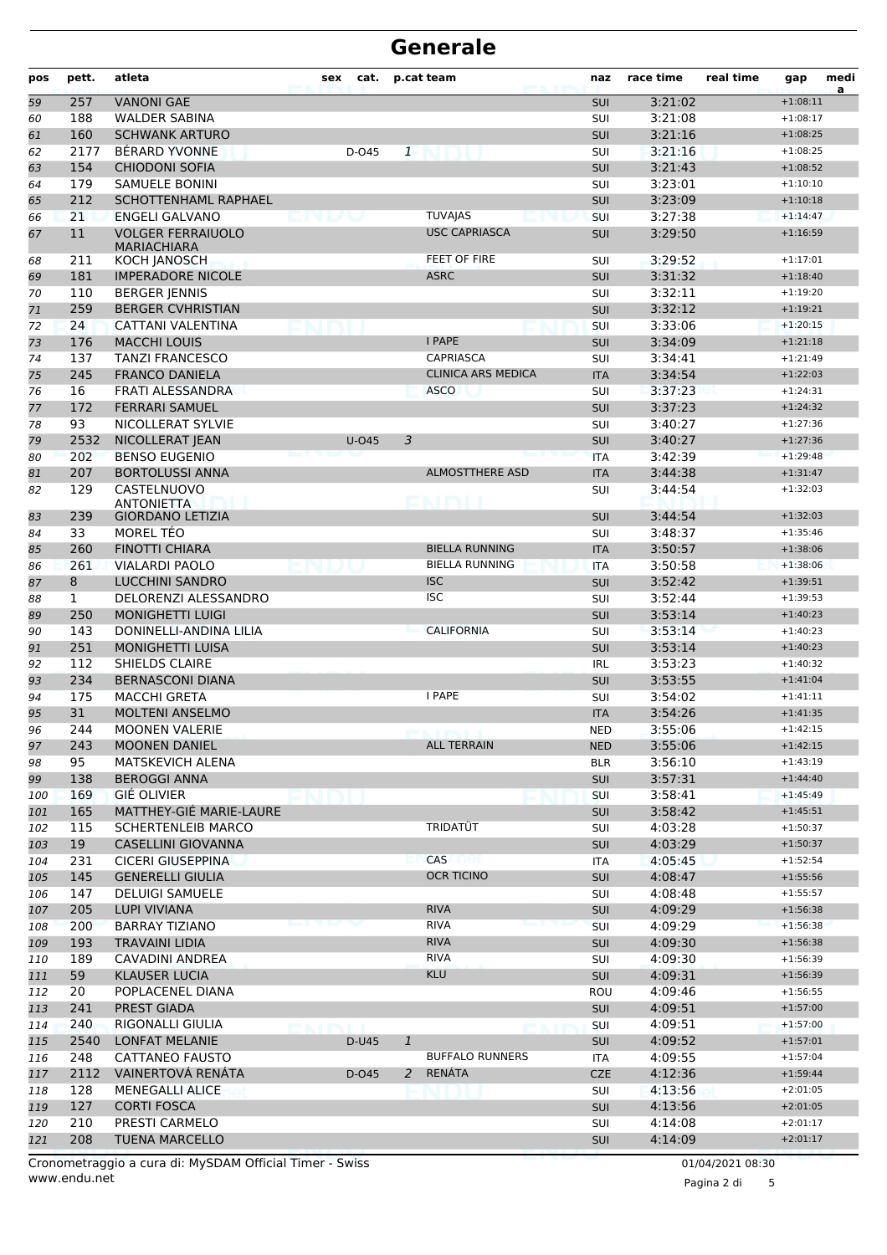| pos        | pett.        | atleta                                               | sex | cat.     |              | p.cat team                      | naz               | race time          | real time | gap                      | medi<br>a |
|------------|--------------|------------------------------------------------------|-----|----------|--------------|---------------------------------|-------------------|--------------------|-----------|--------------------------|-----------|
| 59         | 257          | <b>VANONI GAE</b>                                    |     |          |              |                                 | <b>SUI</b>        | 3:21:02            |           | $+1:08:11$               |           |
| 60         | 188          | <b>WALDER SABINA</b>                                 |     |          |              |                                 | SUI               | 3:21:08            |           | $+1:08:17$               |           |
| 61         | 160          | <b>SCHWANK ARTURO</b>                                |     |          |              |                                 | <b>SUI</b>        | 3:21:16            |           | $+1:08:25$               |           |
| 62         | 2177         | BÉRARD YVONNE                                        |     | D-045    | $\mathbf{1}$ |                                 | SUI               | 3:21:16            |           | $+1:08:25$               |           |
| 63         | 154          | <b>CHIODONI SOFIA</b>                                |     |          |              |                                 | <b>SUI</b>        | 3:21:43            |           | $+1:08:52$               |           |
| 64         | 179          | <b>SAMUELE BONINI</b>                                |     |          |              |                                 | SUI               | 3:23:01            |           | $+1:10:10$               |           |
| 65         | 212          | <b>SCHOTTENHAML RAPHAEL</b><br><b>ENGELI GALVANO</b> |     |          |              | <b>TUVAJAS</b>                  | <b>SUI</b>        | 3:23:09            |           | $+1:10:18$               |           |
| 66<br>67   | 21<br>11     | <b>VOLGER FERRAIUOLO</b>                             |     |          |              | <b>USC CAPRIASCA</b>            | SUI<br><b>SUI</b> | 3:27:38<br>3:29:50 |           | $+1:14:47$<br>$+1:16:59$ |           |
|            |              | <b>MARIACHIARA</b>                                   |     |          |              |                                 |                   |                    |           |                          |           |
| 68         | 211          | KOCH JANOSCH                                         |     |          |              | FEET OF FIRE                    | SUI               | 3:29:52            |           | $+1:17:01$               |           |
| 69         | 181          | <b>IMPERADORE NICOLE</b>                             |     |          |              | <b>ASRC</b>                     | <b>SUI</b>        | 3:31:32            |           | $+1:18:40$               |           |
| 70         | 110          | <b>BERGER JENNIS</b>                                 |     |          |              |                                 | SUI               | 3:32:11            |           | $+1:19:20$               |           |
| 71         | 259          | <b>BERGER CVHRISTIAN</b>                             |     |          |              |                                 | SUI               | 3:32:12            |           | $+1:19:21$               |           |
| 72         | 24           | CATTANI VALENTINA                                    |     |          |              |                                 | SUI               | 3:33:06            |           | $+1:20:15$               |           |
| 73         | 176<br>137   | <b>MACCHI LOUIS</b><br><b>TANZI FRANCESCO</b>        |     |          |              | I PAPE<br><b>CAPRIASCA</b>      | <b>SUI</b>        | 3:34:09<br>3:34:41 |           | $+1:21:18$<br>$+1:21:49$ |           |
| 74         | 245          | <b>FRANCO DANIELA</b>                                |     |          |              | <b>CLINICA ARS MEDICA</b>       | SUI               | 3:34:54            |           | $+1:22:03$               |           |
| 75<br>76   | 16           | FRATI ALESSANDRA                                     |     |          |              | <b>ASCO</b>                     | <b>ITA</b><br>SUI | 3:37:23            |           | $+1:24:31$               |           |
| 77         | 172          | <b>FERRARI SAMUEL</b>                                |     |          |              |                                 | SUI               | 3:37:23            |           | $+1:24:32$               |           |
| 78         | 93           | NICOLLERAT SYLVIE                                    |     |          |              |                                 | SUI               | 3:40:27            |           | $+1:27:36$               |           |
| 79         | 2532         | NICOLLERAT JEAN                                      |     | $U$ -045 | 3            |                                 | <b>SUI</b>        | 3:40:27            |           | $+1:27:36$               |           |
| 80         | 202          | <b>BENSO EUGENIO</b>                                 |     |          |              |                                 | <b>ITA</b>        | 3:42:39            |           | $+1:29:48$               |           |
| 81         | 207          | <b>BORTOLUSSI ANNA</b>                               |     |          |              | <b>ALMOSTTHERE ASD</b>          | <b>ITA</b>        | 3:44:38            |           | $+1:31:47$               |           |
| 82         | 129          | CASTELNUOVO                                          |     |          |              |                                 | SUI               | 3:44:54            |           | $+1:32:03$               |           |
|            | 239          | <b>ANTONIETTA</b><br><b>GIORDANO LETIZIA</b>         |     |          |              | MENI                            | <b>SUI</b>        | 3:44:54            |           | $+1:32:03$               |           |
| 83<br>84   | 33           | MOREL TÉO                                            |     |          |              |                                 | SUI               | 3:48:37            |           | $+1:35:46$               |           |
| 85         | 260          | <b>FINOTTI CHIARA</b>                                |     |          |              | <b>BIELLA RUNNING</b>           | <b>ITA</b>        | 3:50:57            |           | $+1:38:06$               |           |
| 86         | 261          | <b>VIALARDI PAOLO</b>                                |     |          |              | <b>BIELLA RUNNING</b>           | <b>ITA</b>        | 3:50:58            |           | $+1:38:06$               |           |
| 87         | 8            | <b>LUCCHINI SANDRO</b>                               |     |          |              | <b>ISC</b>                      | <b>SUI</b>        | 3:52:42            |           | $+1:39:51$               |           |
| 88         | $\mathbf{1}$ | DELORENZI ALESSANDRO                                 |     |          |              | <b>ISC</b>                      | SUI               | 3:52:44            |           | $+1:39:53$               |           |
| 89         | 250          | <b>MONIGHETTI LUIGI</b>                              |     |          |              |                                 | <b>SUI</b>        | 3:53:14            |           | $+1:40:23$               |           |
| 90         | 143          | DONINELLI-ANDINA LILIA                               |     |          |              | <b>CALIFORNIA</b>               | SUI               | 3:53:14            |           | $+1:40:23$               |           |
| 91         | 251          | <b>MONIGHETTI LUISA</b>                              |     |          |              |                                 | <b>SUI</b>        | 3:53:14            |           | $+1:40:23$               |           |
| 92         | 112          | SHIELDS CLAIRE                                       |     |          |              |                                 | <b>IRL</b>        | 3:53:23            |           | $+1:40:32$               |           |
| 93         | 234          | <b>BERNASCONI DIANA</b>                              |     |          |              |                                 | <b>SUI</b>        | 3:53:55            |           | $+1:41:04$               |           |
| 94         | 175          | <b>MACCHI GRETA</b>                                  |     |          |              | <b>I PAPE</b>                   | SUI               | 3:54:02            |           | $+1:41:11$               |           |
| 95         | 31           | <b>MOLTENI ANSELMO</b>                               |     |          |              |                                 | <b>ITA</b>        | 3:54:26            |           | $+1:41:35$               |           |
| 96         | 244          | <b>MOONEN VALERIE</b>                                |     |          |              |                                 | <b>NED</b>        | 3:55:06            |           | $+1:42:15$               |           |
| 97         | 243          | <b>MOONEN DANIEL</b>                                 |     |          |              | <b>ALL TERRAIN</b>              | <b>NED</b>        | 3:55:06            |           | $+1:42:15$               |           |
| 98         | 95           | <b>MATSKEVICH ALENA</b>                              |     |          |              |                                 | <b>BLR</b>        | 3:56:10            |           | $+1:43:19$               |           |
| 99         | 138          | <b>BEROGGI ANNA</b>                                  |     |          |              |                                 | SUI               | 3:57:31            |           | $+1:44:40$               |           |
| 100        | 169          | GIÉ OLIVIER                                          |     |          |              |                                 | <b>SUI</b>        | 3:58:41            |           | $+1:45:49$               |           |
| 101        | 165          | MATTHEY-GIÉ MARIE-LAURE                              |     |          |              |                                 | SUI               | 3:58:42            |           | $+1:45:51$               |           |
| 102        | 115          | <b>SCHERTENLEIB MARCO</b>                            |     |          |              | TRIDATÜT                        | SUI               | 4:03:28            |           | $+1:50:37$               |           |
| 103        | 19           | <b>CASELLINI GIOVANNA</b>                            |     |          |              |                                 | <b>SUI</b>        | 4:03:29            |           | $+1:50:37$               |           |
| 104        | 231          | <b>CICERI GIUSEPPINA</b>                             |     |          |              | CAS<br>101<br><b>OCR TICINO</b> | <b>ITA</b>        | 4:05:45            |           | $+1:52:54$               |           |
| 105        | 145<br>147   | <b>GENERELLI GIULIA</b><br><b>DELUIGI SAMUELE</b>    |     |          |              |                                 | <b>SUI</b>        | 4:08:47<br>4:08:48 |           | $+1:55:56$<br>$+1:55:57$ |           |
| 106<br>107 | 205          | <b>LUPI VIVIANA</b>                                  |     |          |              | <b>RIVA</b>                     | SUI<br>SUI        | 4:09:29            |           | $+1:56:38$               |           |
| 108        | 200          | <b>BARRAY TIZIANO</b>                                |     |          |              | <b>RIVA</b>                     | SUI               | 4:09:29            |           | $+1:56:38$               |           |
| 109        | 193          | <b>TRAVAINI LIDIA</b>                                |     |          |              | <b>RIVA</b>                     | <b>SUI</b>        | 4:09:30            |           | $+1:56:38$               |           |
| 110        | 189          | CAVADINI ANDREA                                      |     |          |              | <b>RIVA</b>                     | SUI               | 4:09:30            |           | $+1:56:39$               |           |
| 111        | 59           | <b>KLAUSER LUCIA</b>                                 |     |          |              | <b>KLU</b>                      | SUI               | 4:09:31            |           | $+1:56:39$               |           |
| 112        | 20           | POPLACENEL DIANA                                     |     |          |              |                                 | ROU               | 4:09:46            |           | $+1:56:55$               |           |
| 113        | 241          | PREST GIADA                                          |     |          |              |                                 | SUI               | 4:09:51            |           | $+1:57:00$               |           |
| 114        | 240          | RIGONALLI GIULIA                                     |     | men.     |              |                                 | <b>SUI</b>        | 4:09:51            |           | $+1:57:00$               |           |
| 115        | 2540         | <b>LONFAT MELANIE</b>                                |     | D-U45    | $\mathbf{1}$ |                                 | <b>SUI</b>        | 4:09:52            |           | $+1:57:01$               |           |
| 116        | 248          | CATTANEO FAUSTO                                      |     |          |              | <b>BUFFALO RUNNERS</b>          | ITA               | 4:09:55            |           | $+1:57:04$               |           |
| 117        | 2112         | <b>VAINERTOVA RENATA</b>                             |     | D-045    | 2            | RENÁTA                          | <b>CZE</b>        | 4:12:36            |           | $+1:59:44$               |           |
| 118        | 128          | <b>MENEGALLI ALICE</b>                               |     |          |              |                                 | <b>SUI</b>        | 4:13:56            |           | $+2:01:05$               |           |
| 119        | 127          | <b>CORTI FOSCA</b>                                   |     |          |              |                                 | SUI               | 4:13:56            |           | $+2:01:05$               |           |
| 120        | 210          | PRESTI CARMELO                                       |     |          |              |                                 | SUI               | 4:14:08            |           | $+2:01:17$               |           |
| 121        | 208          | TUENA MARCELLO                                       |     |          |              |                                 | <b>SUI</b>        | 4:14:09            |           | $+2:01:17$               |           |

www.endu.net Cronometraggio a cura di: MySDAM Official Timer - Swiss 01/04/2021 08:30

Pagina 2 di 5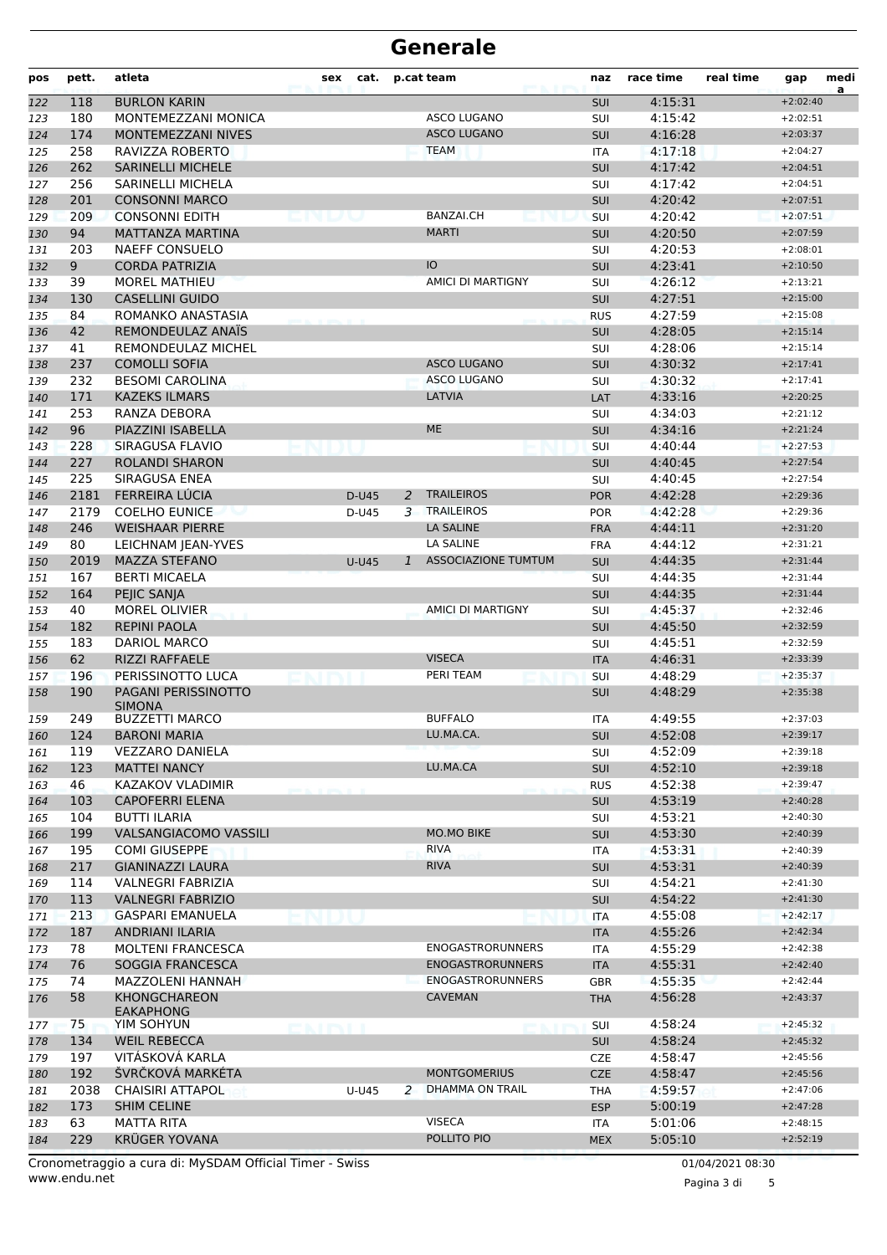| pos | pett. | atleta                                  | sex | cat.    |              | p.cat team                 | naz        | race time | real time | gap        | medi<br>a |
|-----|-------|-----------------------------------------|-----|---------|--------------|----------------------------|------------|-----------|-----------|------------|-----------|
| 122 | 118   | <b>BURLON KARIN</b>                     |     |         |              |                            | SUI        | 4:15:31   |           | $+2:02:40$ |           |
| 123 | 180   | MONTEMEZZANI MONICA                     |     |         |              | <b>ASCO LUGANO</b>         | SUI        | 4:15:42   |           | $+2:02:51$ |           |
| 124 | 174   | MONTEMEZZANI NIVES                      |     |         |              | <b>ASCO LUGANO</b>         | SUI        | 4:16:28   |           | $+2:03:37$ |           |
| 125 | 258   | RAVIZZA ROBERTO                         |     |         |              | <b>TEAM</b>                | <b>ITA</b> | 4:17:18   |           | $+2:04:27$ |           |
| 126 | 262   | <b>SARINELLI MICHELE</b>                |     |         |              |                            | <b>SUI</b> | 4:17:42   |           | $+2:04:51$ |           |
| 127 | 256   | SARINELLI MICHELA                       |     |         |              |                            | SUI        | 4:17:42   |           | $+2:04:51$ |           |
| 128 | 201   | <b>CONSONNI MARCO</b>                   |     |         |              |                            | <b>SUI</b> | 4:20:42   |           | $+2:07:51$ |           |
| 129 | 209   | <b>CONSONNI EDITH</b>                   |     |         |              | <b>BANZAI.CH</b>           | SUI        | 4:20:42   |           | $+2:07:51$ |           |
| 130 | 94    | <b>MATTANZA MARTINA</b>                 |     |         |              | <b>MARTI</b>               | <b>SUI</b> | 4:20:50   |           | $+2:07:59$ |           |
| 131 | 203   | <b>NAEFF CONSUELO</b>                   |     |         |              |                            | SUI        | 4:20:53   |           | $+2:08:01$ |           |
| 132 | 9     | <b>CORDA PATRIZIA</b>                   |     |         |              | IO                         | <b>SUI</b> | 4:23:41   |           | $+2:10:50$ |           |
| 133 | 39    | <b>MOREL MATHIEU</b>                    |     |         |              | AMICI DI MARTIGNY          | SUI        | 4:26:12   |           | $+2:13:21$ |           |
| 134 | 130   | <b>CASELLINI GUIDO</b>                  |     |         |              |                            | <b>SUI</b> | 4:27:51   |           | $+2:15:00$ |           |
| 135 | 84    | ROMANKO ANASTASIA                       |     |         |              |                            | <b>RUS</b> | 4:27:59   |           | $+2:15:08$ |           |
| 136 | 42    | REMONDEULAZ ANAÏS                       |     |         |              |                            | SUI        | 4:28:05   |           | $+2:15:14$ |           |
| 137 | 41    | <b>REMONDEULAZ MICHEL</b>               |     |         |              |                            | SUI        | 4:28:06   |           | $+2:15:14$ |           |
| 138 | 237   | <b>COMOLLI SOFIA</b>                    |     |         |              | <b>ASCO LUGANO</b>         | <b>SUI</b> | 4:30:32   |           | $+2:17:41$ |           |
| 139 | 232   | <b>BESOMI CAROLINA</b>                  |     |         |              | <b>ASCO LUGANO</b>         | SUI        | 4:30:32   |           | $+2:17:41$ |           |
| 140 | 171   | <b>KAZEKS ILMARS</b>                    |     |         |              | LATVIA                     | LAT        | 4:33:16   |           | $+2:20:25$ |           |
| 141 | 253   | RANZA DEBORA                            |     |         |              |                            | SUI        | 4:34:03   |           | $+2:21:12$ |           |
| 142 | 96    | PIAZZINI ISABELLA                       |     |         |              | <b>ME</b>                  | SUI        | 4:34:16   |           | $+2:21:24$ |           |
| 143 | 228   | SIRAGUSA FLAVIO                         |     |         |              |                            | SUI        | 4:40:44   |           | $+2:27:53$ |           |
| 144 | 227   | <b>ROLANDI SHARON</b>                   |     |         |              |                            | <b>SUI</b> | 4:40:45   |           | $+2:27:54$ |           |
| 145 | 225   | SIRAGUSA ENEA                           |     |         |              |                            | SUI        | 4:40:45   |           | $+2:27:54$ |           |
| 146 | 2181  | FERREIRA LÚCIA                          |     | D-U45   | 2            | <b>TRAILEIROS</b>          | <b>POR</b> | 4:42:28   |           | $+2:29:36$ |           |
| 147 | 2179  | <b>COELHO EUNICE</b>                    |     | D-U45   | 3            | <b>TRAILEIROS</b>          | <b>POR</b> | 4:42:28   |           | $+2:29:36$ |           |
| 148 | 246   | <b>WEISHAAR PIERRE</b>                  |     |         |              | <b>LA SALINE</b>           | <b>FRA</b> | 4:44:11   |           | $+2:31:20$ |           |
| 149 | 80    | LEICHNAM JEAN-YVES                      |     |         |              | LA SALINE                  | <b>FRA</b> | 4:44:12   |           | $+2:31:21$ |           |
| 150 | 2019  | <b>MAZZA STEFANO</b>                    |     | $U-U45$ | $\mathbf{1}$ | <b>ASSOCIAZIONE TUMTUM</b> | <b>SUI</b> | 4:44:35   |           | $+2:31:44$ |           |
| 151 | 167   | <b>BERTI MICAELA</b>                    |     |         |              |                            | SUI        | 4:44:35   |           | $+2:31:44$ |           |
| 152 | 164   | PEJIC SANJA                             |     |         |              |                            | <b>SUI</b> | 4:44:35   |           | $+2:31:44$ |           |
| 153 | 40    | <b>MOREL OLIVIER</b>                    |     |         |              | AMICI DI MARTIGNY          | SUI        | 4:45:37   |           | $+2:32:46$ |           |
| 154 | 182   | <b>REPINI PAOLA</b>                     |     |         |              |                            | <b>SUI</b> | 4:45:50   |           | $+2:32:59$ |           |
| 155 | 183   | DARIOL MARCO                            |     |         |              |                            | SUI        | 4:45:51   |           | $+2:32:59$ |           |
| 156 | 62    | RIZZI RAFFAELE                          |     |         |              | <b>VISECA</b>              | <b>ITA</b> | 4:46:31   |           | $+2:33:39$ |           |
| 157 | 196   | PERISSINOTTO LUCA                       |     |         |              | PERI TEAM                  | SUI        | 4:48:29   |           | $+2:35:37$ |           |
| 158 | 190   | PAGANI PERISSINOTTO<br><b>SIMONA</b>    |     |         |              |                            | <b>SUI</b> | 4:48:29   |           | $+2:35:38$ |           |
| 159 | 249   | <b>BUZZETTI MARCO</b>                   |     |         |              | <b>BUFFALO</b>             | <b>ITA</b> | 4:49:55   |           | $+2:37:03$ |           |
| 160 | 124   | <b>BARONI MARIA</b>                     |     |         |              | LU.MA.CA.                  | <b>SUI</b> | 4:52:08   |           | $+2:39:17$ |           |
| 161 | 119   | <b>VEZZARO DANIELA</b>                  |     |         |              |                            | SUI        | 4:52:09   |           | $+2:39:18$ |           |
| 162 | 123   | <b>MATTEI NANCY</b>                     |     |         |              | LU.MA.CA                   | <b>SUI</b> | 4:52:10   |           | $+2:39:18$ |           |
| 163 | 46    | KAZAKOV VLADIMIR                        |     |         |              |                            | <b>RUS</b> | 4:52:38   |           | $+2:39:47$ |           |
| 164 | 103   | <b>CAPOFERRI ELENA</b>                  |     |         |              |                            | <b>SUI</b> | 4:53:19   |           | $+2:40:28$ |           |
| 165 | 104   | <b>BUTTI ILARIA</b>                     |     |         |              |                            | SUI        | 4:53:21   |           | $+2:40:30$ |           |
| 166 | 199   | VALSANGIACOMO VASSILI                   |     |         |              | <b>MO.MO BIKE</b>          | SUI        | 4:53:30   |           | $+2:40:39$ |           |
| 167 | 195   | <b>COMI GIUSEPPE</b>                    |     |         |              | <b>RIVA</b>                | <b>ITA</b> | 4:53:31   |           | $+2:40:39$ |           |
| 168 | 217   | <b>GIANINAZZI LAURA</b>                 |     |         |              | <b>RIVA</b>                | <b>SUI</b> | 4:53:31   |           | $+2:40:39$ |           |
| 169 | 114   | VALNEGRI FABRIZIA                       |     |         |              |                            | SUI        | 4:54:21   |           | $+2:41:30$ |           |
| 170 | 113   | VALNEGRI FABRIZIO                       |     |         |              |                            | <b>SUI</b> | 4:54:22   |           | $+2:41:30$ |           |
| 171 | 213   | <b>GASPARI EMANUELA</b>                 |     |         |              |                            | <b>ITA</b> | 4:55:08   |           | $+2:42:17$ |           |
| 172 | 187   | <b>ANDRIANI ILARIA</b>                  |     |         |              |                            | <b>ITA</b> | 4:55:26   |           | $+2:42:34$ |           |
| 173 | 78    | <b>MOLTENI FRANCESCA</b>                |     |         |              | <b>ENOGASTRORUNNERS</b>    | ITA        | 4:55:29   |           | $+2:42:38$ |           |
| 174 | 76    | SOGGIA FRANCESCA                        |     |         |              | <b>ENOGASTRORUNNERS</b>    | <b>ITA</b> | 4:55:31   |           | $+2:42:40$ |           |
| 175 | 74    | MAZZOLENI HANNAH                        |     |         |              | <b>ENOGASTRORUNNERS</b>    | <b>GBR</b> | 4:55:35   |           | $+2:42:44$ |           |
| 176 | 58    | <b>KHONGCHAREON</b><br><b>EAKAPHONG</b> |     |         |              | <b>CAVEMAN</b>             | <b>THA</b> | 4:56:28   |           | $+2:43:37$ |           |
| 177 | 75    | YIM SOHYUN                              |     |         |              |                            | <b>SUI</b> | 4:58:24   |           | $+2:45:32$ |           |
| 178 | 134   | <b>WEIL REBECCA</b>                     |     |         |              |                            | <b>SUI</b> | 4:58:24   |           | $+2:45:32$ |           |
| 179 | 197   | VITÁSKOVÁ KARLA                         |     |         |              |                            | <b>CZE</b> | 4:58:47   |           | $+2:45:56$ |           |
| 180 | 192   | ŠVRČKOVÁ MARKÉTA                        |     |         |              | <b>MONTGOMERIUS</b>        | <b>CZE</b> | 4:58:47   |           | $+2:45:56$ |           |
| 181 | 2038  | <b>CHAISIRI ATTAPOL</b>                 |     | U-U45   | 2            | DHAMMA ON TRAIL            | THA        | 4:59:57   |           | $+2:47:06$ |           |
| 182 | 173   | <b>SHIM CELINE</b>                      |     |         |              |                            | <b>ESP</b> | 5:00:19   |           | $+2:47:28$ |           |
| 183 | 63    | MATTA RITA                              |     |         |              | <b>VISECA</b>              | ITA        | 5:01:06   |           | $+2:48:15$ |           |
| 184 | 229   | <b>KRÜGER YOVANA</b>                    |     |         |              | POLLITO PIO                | <b>MEX</b> | 5:05:10   |           | $+2:52:19$ |           |

www.endu.net Cronometraggio a cura di: MySDAM Official Timer - Swiss 01/04/2021 08:30

Pagina 3 di 5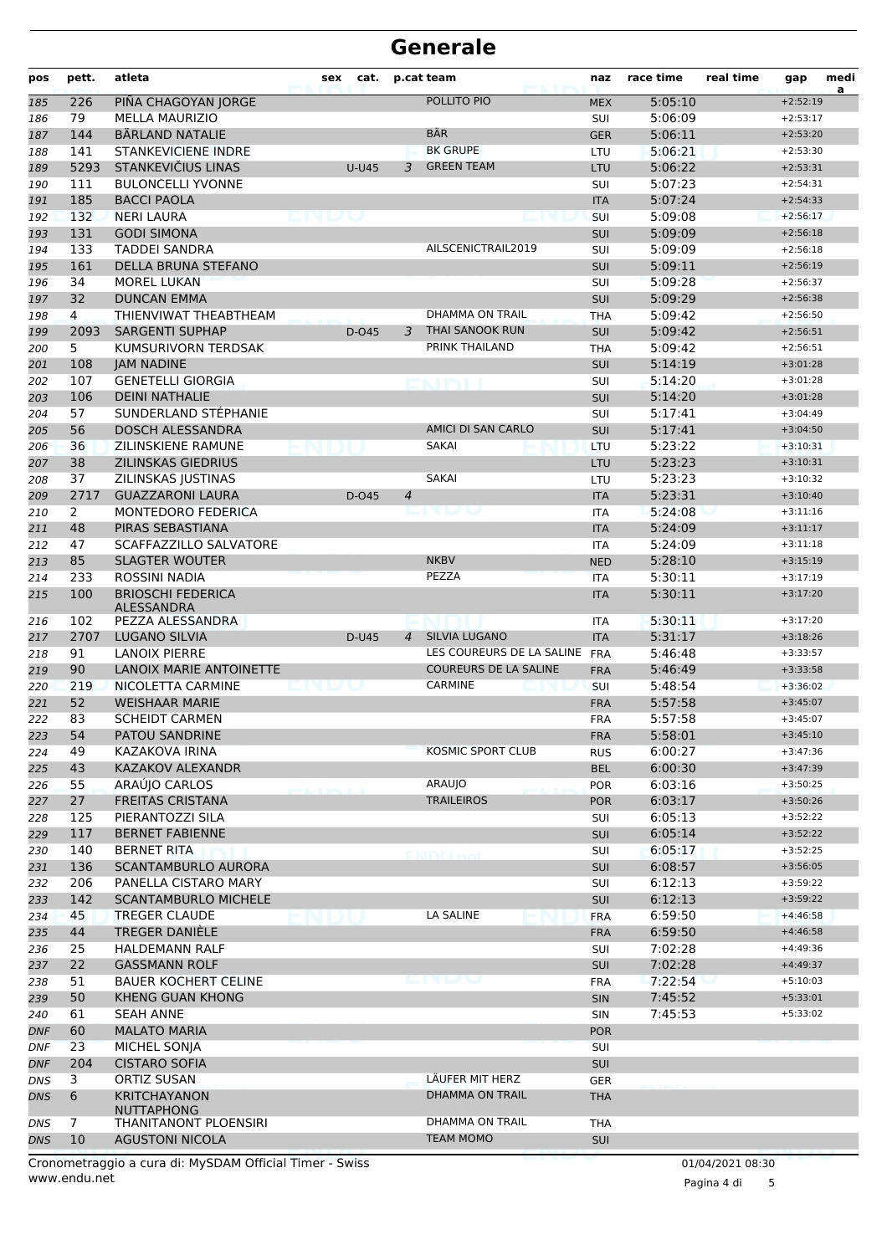| pos        | pett.          | atleta                                        | sex     | cat.         |                | p.cat team                   | naz                      | race time          | real time | gap                      | medi<br>a |
|------------|----------------|-----------------------------------------------|---------|--------------|----------------|------------------------------|--------------------------|--------------------|-----------|--------------------------|-----------|
| 185        | 226            | PIÑA CHAGOYAN JORGE                           |         |              |                | POLLITO PIO                  | <b>MEX</b>               | 5:05:10            |           | $+2:52:19$               |           |
| 186        | 79             | <b>MELLA MAURIZIO</b>                         |         |              |                |                              | SUI                      | 5:06:09            |           | $+2:53:17$               |           |
| 187        | 144            | <b>BÄRLAND NATALIE</b>                        |         |              |                | <b>BÄR</b>                   | <b>GER</b>               | 5:06:11            |           | $+2:53:20$               |           |
| 188        | 141            | <b>STANKEVICIENE INDRE</b>                    |         |              |                | <b>BK GRUPE</b>              | LTU                      | 5:06:21            |           | $+2:53:30$               |           |
| 189        | 5293           | STANKEVIČIUS LINAS                            |         | <b>U-U45</b> | 3              | <b>GREEN TEAM</b>            | LTU                      | 5:06:22            |           | $+2:53:31$               |           |
| 190        | 111            | <b>BULONCELLI YVONNE</b>                      |         |              |                |                              | SUI                      | 5:07:23            |           | $+2:54:31$               |           |
| 191        | 185            | <b>BACCI PAOLA</b>                            |         |              |                |                              | <b>ITA</b>               | 5:07:24            |           | $+2:54:33$               |           |
| 192        | 132            | <b>NERI LAURA</b>                             | vi by v |              |                |                              | SUI                      | 5:09:08            |           | $+2:56:17$               |           |
| 193        | 131            | <b>GODI SIMONA</b>                            |         |              |                |                              | <b>SUI</b>               | 5:09:09            |           | $+2:56:18$               |           |
| 194        | 133            | <b>TADDEI SANDRA</b>                          |         |              |                | AILSCENICTRAIL2019           | SUI                      | 5:09:09            |           | $+2:56:18$               |           |
| 195        | 161            | DELLA BRUNA STEFANO                           |         |              |                |                              | SUI                      | 5:09:11            |           | $+2:56:19$               |           |
| 196        | 34<br>32       | <b>MOREL LUKAN</b><br><b>DUNCAN EMMA</b>      |         |              |                |                              | SUI                      | 5:09:28<br>5:09:29 |           | $+2:56:37$<br>$+2:56:38$ |           |
| 197<br>198 | $\overline{4}$ | THIENVIWAT THEABTHEAM                         |         |              |                | DHAMMA ON TRAIL              | SUI<br><b>THA</b>        | 5:09:42            |           | $+2:56:50$               |           |
| 199        | 2093           | <b>SARGENTI SUPHAP</b>                        |         | D-045        | 3              | THAI SANOOK RUN              | <b>SUI</b>               | 5:09:42            |           | $+2:56:51$               |           |
| 200        | 5              | KUMSURIVORN TERDSAK                           |         |              |                | PRINK THAILAND               | <b>THA</b>               | 5:09:42            |           | $+2:56:51$               |           |
| 201        | 108            | <b>JAM NADINE</b>                             |         |              |                |                              | <b>SUI</b>               | 5:14:19            |           | $+3:01:28$               |           |
| 202        | 107            | <b>GENETELLI GIORGIA</b>                      |         |              |                | en iki                       | SUI                      | 5:14:20            |           | $+3:01:28$               |           |
| 203        | 106            | <b>DEINI NATHALIE</b>                         |         |              |                |                              | SUI                      | 5:14:20            |           | $+3:01:28$               |           |
| 204        | 57             | SUNDERLAND STÉPHANIE                          |         |              |                |                              | SUI                      | 5:17:41            |           | $+3:04:49$               |           |
| 205        | 56             | <b>DOSCH ALESSANDRA</b>                       |         |              |                | AMICI DI SAN CARLO           | <b>SUI</b>               | 5:17:41            |           | $+3:04:50$               |           |
| 206        | 36             | ZILINSKIENE RAMUNE                            |         |              |                | <b>SAKAI</b>                 | LTU                      | 5:23:22            |           | $+3:10:31$               |           |
| 207        | 38             | <b>ZILINSKAS GIEDRIUS</b>                     |         |              |                |                              | LTU                      | 5:23:23            |           | $+3:10:31$               |           |
| 208        | 37             | ZILINSKAS JUSTINAS                            |         |              |                | <b>SAKAI</b>                 | LTU                      | 5:23:23            |           | $+3:10:32$               |           |
| 209        | 2717           | <b>GUAZZARONI LAURA</b>                       |         | D-045        | 4              |                              | <b>ITA</b>               | 5:23:31            |           | $+3:10:40$               |           |
| 210        | $\overline{2}$ | <b>MONTEDORO FEDERICA</b>                     |         |              |                | --                           | <b>ITA</b>               | 5:24:08            |           | $+3:11:16$               |           |
| 211        | 48             | PIRAS SEBASTIANA                              |         |              |                |                              | <b>ITA</b>               | 5:24:09            |           | $+3:11:17$               |           |
| 212        | 47             | SCAFFAZZILLO SALVATORE                        |         |              |                |                              | ITA                      | 5:24:09            |           | $+3:11:18$               |           |
| 213        | 85             | <b>SLAGTER WOUTER</b>                         |         |              |                | <b>NKBV</b>                  | <b>NED</b>               | 5:28:10            |           | $+3:15:19$               |           |
| 214        | 233            | ROSSINI NADIA                                 |         |              |                | PEZZA                        | <b>ITA</b>               | 5:30:11            |           | $+3:17:19$               |           |
| 215        | 100            | <b>BRIOSCHI FEDERICA</b><br><b>ALESSANDRA</b> |         |              |                |                              | <b>ITA</b>               | 5:30:11            |           | $+3:17:20$               |           |
| 216        | 102            | PEZZA ALESSANDRA                              |         |              |                |                              | <b>ITA</b>               | 5:30:11            |           | $+3:17:20$               |           |
| 217        | 2707           | LUGANO SILVIA                                 |         | D-U45        | $\overline{4}$ | <b>SILVIA LUGANO</b>         | <b>ITA</b>               | 5:31:17            |           | $+3:18:26$               |           |
| 218        | 91             | LANOIX PIERRE                                 |         |              |                | LES COUREURS DE LA SALINE    | <b>FRA</b>               | 5:46:48            |           | $+3:33:57$               |           |
| 219        | 90             | LANOIX MARIE ANTOINETTE                       |         |              |                | <b>COUREURS DE LA SALINE</b> | <b>FRA</b>               | 5:46:49            |           | $+3:33:58$               |           |
| 220        | 219            | NICOLETTA CARMINE                             |         |              |                | CARMINE                      | <b>SUI</b>               | 5:48:54            |           | $+3:36:02$               |           |
| 221        | 52             | <b>WEISHAAR MARIE</b>                         |         |              |                |                              | <b>FRA</b>               | 5:57:58            |           | $+3:45:07$               |           |
| 222        | 83             | <b>SCHEIDT CARMEN</b>                         |         |              |                |                              | <b>FRA</b>               | 5:57:58            |           | $+3:45:07$<br>$+3:45:10$ |           |
| 223        | 54             | PATOU SANDRINE<br>KAZAKOVA IRINA              |         |              |                | KOSMIC SPORT CLUB            | <b>FRA</b>               | 5:58:01            |           | $+3:47:36$               |           |
| 224        | 49<br>43       | KAZAKOV ALEXANDR                              |         |              |                |                              | <b>RUS</b><br><b>BEL</b> | 6:00:27<br>6:00:30 |           | $+3:47:39$               |           |
| 225<br>226 | 55             | ARAUJO CARLOS                                 |         |              |                | ARAUJO                       | <b>POR</b>               | 6:03:16            |           | $+3:50:25$               |           |
| 227        | 27             | <b>FREITAS CRISTANA</b>                       |         |              |                | <b>TRAILEIROS</b>            | <b>POR</b>               | 6:03:17            |           | $+3:50:26$               |           |
| 228        | 125            | PIERANTOZZI SILA                              |         |              |                |                              | <b>SUI</b>               | 6:05:13            |           | $+3:52:22$               |           |
| 229        | 117            | <b>BERNET FABIENNE</b>                        |         |              |                |                              | SUI                      | 6:05:14            |           | $+3:52:22$               |           |
| 230        | 140            | <b>BERNET RITA</b>                            |         |              |                | CNINERA                      | SUI                      | 6:05:17            |           | $+3:52:25$               |           |
| 231        | 136            | SCANTAMBURLO AURORA                           |         |              |                |                              | <b>SUI</b>               | 6:08:57            |           | $+3:56:05$               |           |
| 232        | 206            | PANELLA CISTARO MARY                          |         |              |                |                              | SUI                      | 6:12:13            |           | $+3:59:22$               |           |
| 233        | 142            | <b>SCANTAMBURLO MICHELE</b>                   |         |              |                |                              | <b>SUI</b>               | 6:12:13            |           | $+3:59:22$               |           |
| 234        | 45             | <b>TREGER CLAUDE</b>                          |         |              |                | LA SALINE                    | <b>FRA</b>               | 6:59:50            |           | $+4:46:58$               |           |
| 235        | 44             | TREGER DANIELE                                |         |              |                |                              | <b>FRA</b>               | 6:59:50            |           | $+4:46:58$               |           |
| 236        | 25             | <b>HALDEMANN RALF</b>                         |         |              |                |                              | SUI                      | 7:02:28            |           | $+4:49:36$               |           |
| 237        | 22             | <b>GASSMANN ROLF</b>                          |         |              |                |                              | <b>SUI</b>               | 7:02:28            |           | $+4:49:37$               |           |
| 238        | 51             | <b>BAUER KOCHERT CELINE</b>                   |         |              |                | <u>the term that in the </u> | <b>FRA</b>               | 7:22:54            |           | $+5:10:03$               |           |
| 239        | 50             | <b>KHENG GUAN KHONG</b>                       |         |              |                |                              | <b>SIN</b>               | 7:45:52            |           | $+5:33:01$               |           |
| 240        | 61             | <b>SEAH ANNE</b>                              |         |              |                |                              | <b>SIN</b>               | 7:45:53            |           | $+5:33:02$               |           |
| DNF        | 60             | <b>MALATO MARIA</b>                           |         |              |                |                              | <b>POR</b>               |                    |           |                          |           |
| <b>DNF</b> | 23             | MICHEL SONJA                                  |         |              |                |                              | SUI                      |                    |           |                          |           |
| DNF        | 204            | <b>CISTARO SOFIA</b>                          |         |              |                |                              | SUI                      |                    |           |                          |           |
| DNS        | 3              | ORTIZ SUSAN                                   |         |              |                | LÄUFER MIT HERZ              | <b>GER</b>               |                    |           |                          |           |
| DNS        | 6              | <b>KRITCHAYANON</b>                           |         |              |                | <b>DHAMMA ON TRAIL</b>       | <b>THA</b>               |                    |           |                          |           |
| DNS        | 7              | <b>NUTTAPHONG</b><br>THANITANONT PLOENSIRI    |         |              |                | DHAMMA ON TRAIL              | <b>THA</b>               |                    |           |                          |           |
| <b>DNS</b> | 10             | <b>AGUSTONI NICOLA</b>                        |         |              |                | <b>TEAM MOMO</b>             | SUI                      |                    |           |                          |           |
|            |                |                                               |         |              |                |                              |                          |                    |           |                          |           |

Pagina 4 di 5